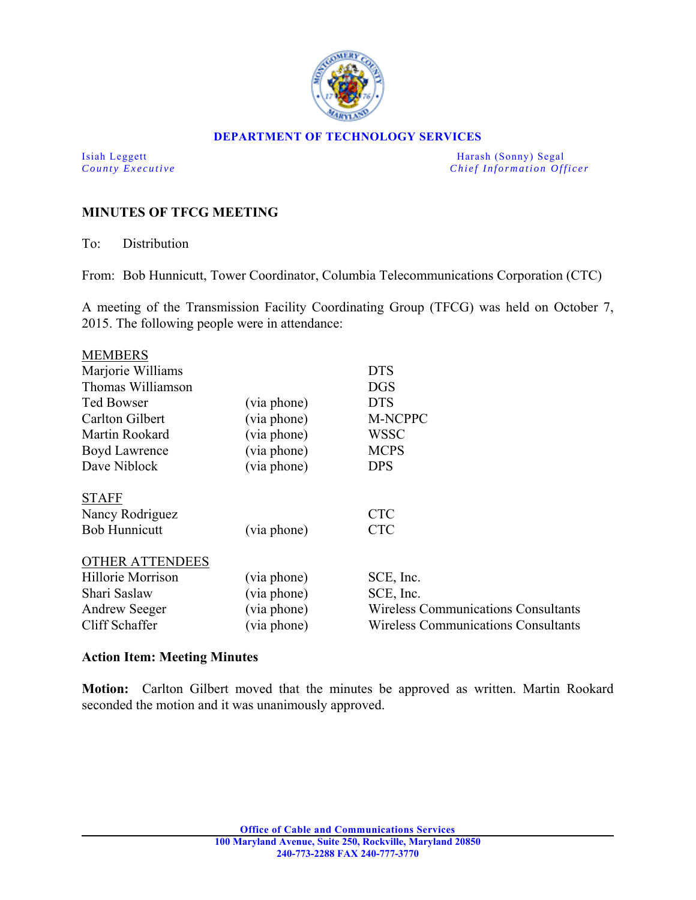

#### **DEPARTMENT OF TECHNOLOGY SERVICES**

Isiah Leggett Harash (Sonny) Segal *County Executive* **County**  $\overline{C}$  *Chief Information Officer* 

# **MINUTES OF TFCG MEETING**

To: Distribution

From: Bob Hunnicutt, Tower Coordinator, Columbia Telecommunications Corporation (CTC)

A meeting of the Transmission Facility Coordinating Group (TFCG) was held on October 7, 2015. The following people were in attendance:

| <b>MEMBERS</b>         |             |                                            |
|------------------------|-------------|--------------------------------------------|
| Marjorie Williams      |             | <b>DTS</b>                                 |
| Thomas Williamson      |             | <b>DGS</b>                                 |
| <b>Ted Bowser</b>      | (via phone) | <b>DTS</b>                                 |
| Carlton Gilbert        | (via phone) | M-NCPPC                                    |
| Martin Rookard         | (via phone) | <b>WSSC</b>                                |
| Boyd Lawrence          | (via phone) | <b>MCPS</b>                                |
| Dave Niblock           | (via phone) | <b>DPS</b>                                 |
| <b>STAFF</b>           |             |                                            |
| Nancy Rodriguez        |             | <b>CTC</b>                                 |
| <b>Bob Hunnicutt</b>   | (via phone) | <b>CTC</b>                                 |
| <b>OTHER ATTENDEES</b> |             |                                            |
| Hillorie Morrison      | (via phone) | SCE, Inc.                                  |
| Shari Saslaw           | (via phone) | SCE, Inc.                                  |
| <b>Andrew Seeger</b>   | (via phone) | <b>Wireless Communications Consultants</b> |
| Cliff Schaffer         | (via phone) | <b>Wireless Communications Consultants</b> |

### **Action Item: Meeting Minutes**

**Motion:** Carlton Gilbert moved that the minutes be approved as written. Martin Rookard seconded the motion and it was unanimously approved.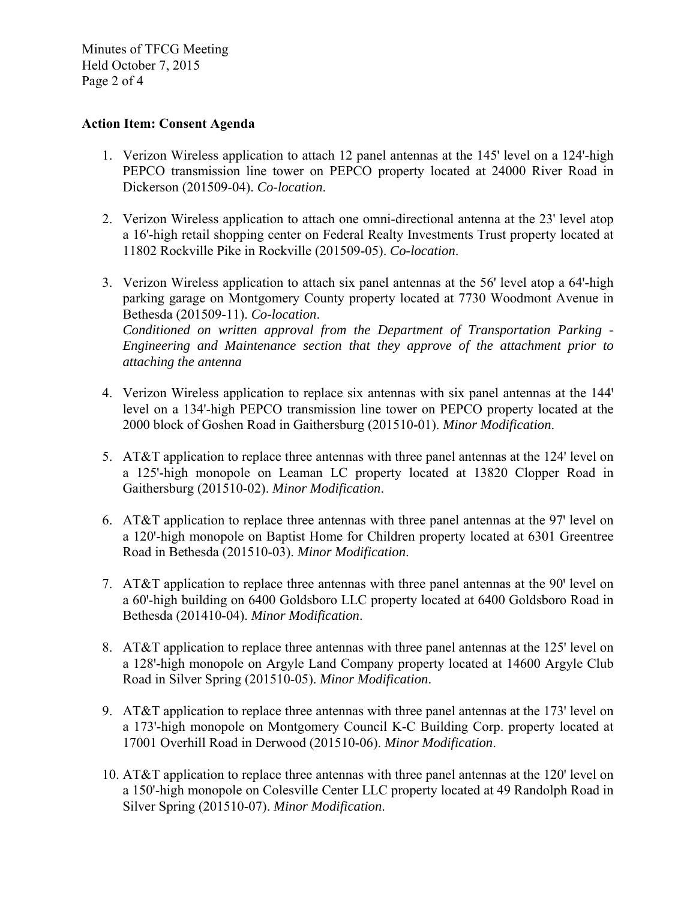Minutes of TFCG Meeting Held October 7, 2015 Page 2 of 4

# **Action Item: Consent Agenda**

- 1. Verizon Wireless application to attach 12 panel antennas at the 145' level on a 124'-high PEPCO transmission line tower on PEPCO property located at 24000 River Road in Dickerson (201509-04). *Co-location*.
- 2. Verizon Wireless application to attach one omni-directional antenna at the 23' level atop a 16'-high retail shopping center on Federal Realty Investments Trust property located at 11802 Rockville Pike in Rockville (201509-05). *Co-location*.
- 3. Verizon Wireless application to attach six panel antennas at the 56' level atop a 64'-high parking garage on Montgomery County property located at 7730 Woodmont Avenue in Bethesda (201509-11). *Co-location*. *Conditioned on written approval from the Department of Transportation Parking - Engineering and Maintenance section that they approve of the attachment prior to attaching the antenna*
- 4. Verizon Wireless application to replace six antennas with six panel antennas at the 144' level on a 134'-high PEPCO transmission line tower on PEPCO property located at the 2000 block of Goshen Road in Gaithersburg (201510-01). *Minor Modification*.
- 5. AT&T application to replace three antennas with three panel antennas at the 124' level on a 125'-high monopole on Leaman LC property located at 13820 Clopper Road in Gaithersburg (201510-02). *Minor Modification*.
- 6. AT&T application to replace three antennas with three panel antennas at the  $97'$  level on a 120'-high monopole on Baptist Home for Children property located at 6301 Greentree Road in Bethesda (201510-03). *Minor Modification*.
- 7. AT&T application to replace three antennas with three panel antennas at the 90' level on a 60'-high building on 6400 Goldsboro LLC property located at 6400 Goldsboro Road in Bethesda (201410-04). *Minor Modification*.
- 8. AT&T application to replace three antennas with three panel antennas at the 125' level on a 128'-high monopole on Argyle Land Company property located at 14600 Argyle Club Road in Silver Spring (201510-05). *Minor Modification*.
- 9. AT&T application to replace three antennas with three panel antennas at the 173' level on a 173'-high monopole on Montgomery Council K-C Building Corp. property located at 17001 Overhill Road in Derwood (201510-06). *Minor Modification*.
- 10. AT&T application to replace three antennas with three panel antennas at the 120' level on a 150'-high monopole on Colesville Center LLC property located at 49 Randolph Road in Silver Spring (201510-07). *Minor Modification*.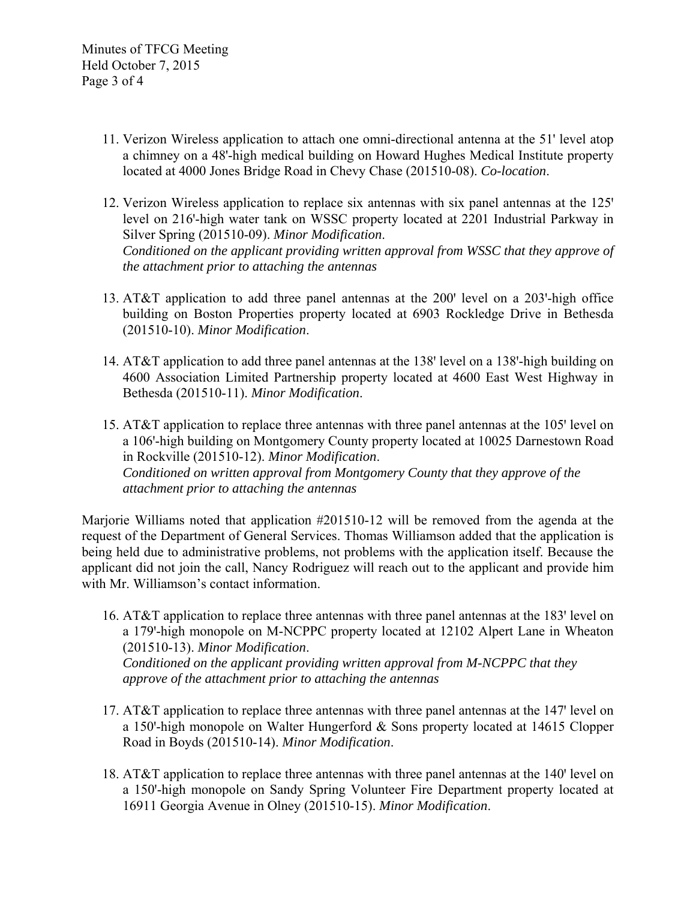- 11. Verizon Wireless application to attach one omni-directional antenna at the 51' level atop a chimney on a 48'-high medical building on Howard Hughes Medical Institute property located at 4000 Jones Bridge Road in Chevy Chase (201510-08). *Co-location*.
- 12. Verizon Wireless application to replace six antennas with six panel antennas at the 125 level on 216'-high water tank on WSSC property located at 2201 Industrial Parkway in Silver Spring (201510-09). *Minor Modification*. *Conditioned on the applicant providing written approval from WSSC that they approve of the attachment prior to attaching the antennas*
- 13. AT&T application to add three panel antennas at the  $200'$  level on a  $203'$ -high office building on Boston Properties property located at 6903 Rockledge Drive in Bethesda (201510-10). *Minor Modification*.
- 14. AT&T application to add three panel antennas at the 138' level on a 138'-high building on 4600 Association Limited Partnership property located at 4600 East West Highway in Bethesda (201510-11). *Minor Modification*.
- 15. AT&T application to replace three antennas with three panel antennas at the 105' level on a 106'-high building on Montgomery County property located at 10025 Darnestown Road in Rockville (201510-12). *Minor Modification*. *Conditioned on written approval from Montgomery County that they approve of the attachment prior to attaching the antennas*

Marjorie Williams noted that application #201510-12 will be removed from the agenda at the request of the Department of General Services. Thomas Williamson added that the application is being held due to administrative problems, not problems with the application itself. Because the applicant did not join the call, Nancy Rodriguez will reach out to the applicant and provide him with Mr. Williamson's contact information.

- 16. AT&T application to replace three antennas with three panel antennas at the 183' level on a 179'-high monopole on M-NCPPC property located at 12102 Alpert Lane in Wheaton (201510-13). *Minor Modification*. *Conditioned on the applicant providing written approval from M-NCPPC that they approve of the attachment prior to attaching the antennas*
- 17. AT&T application to replace three antennas with three panel antennas at the 147 level on a 150'-high monopole on Walter Hungerford  $&$  Sons property located at 14615 Clopper Road in Boyds (201510-14). *Minor Modification*.
- 18. AT&T application to replace three antennas with three panel antennas at the 140' level on a 150'-high monopole on Sandy Spring Volunteer Fire Department property located at 16911 Georgia Avenue in Olney (201510-15). *Minor Modification*.